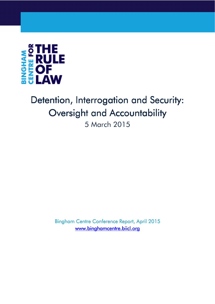

# Detention, Interrogation and Security: Oversight and Accountability

5 March 2015

Bingham Centre Conference Report, April 2015 www.binghamcentre.biicl.org www.binghamcentre.biicl.org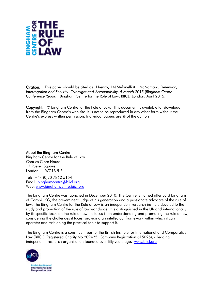

Citation: This paper should be cited as: J Kenny , J N Stefanelli & L McNamara, *Detention, Interrogation and Security: Oversight and Accountability, 5 March 2015* (*Bingham Centre Conference Report*), Bingham Centre for the Rule of Law, BIICL, London, April 2015.

Copyright: © Bingham Centre for the Rule of Law. This document is available for download from the Bingham Centre's web site. It is not to be reproduced in any other form without the Centre's express written permission. Individual papers are © of the authors.

About the Bingham Centre Bingham Centre for the Rule of Law Charles Clore House 17 Russell Sauare London WC1B 5JP

Tel: +44 (0)20 7862 5154 Email: binghamcentre@biicl.org Web: www.binghamcentre.biicl.org

The Bingham Centre was launched in December 2010. The Centre is named after Lord Bingham of Cornhill KG, the pre-eminent judge of his generation and a passionate advocate of the rule of law. The Bingham Centre for the Rule of Law is an independent research institute devoted to the study and promotion of the rule of law worldwide. It is distinguished in the UK and internationally by its specific focus on the rule of law. Its focus is on understanding and promoting the rule of law; considering the challenges it faces; providing an intellectual framework within which it can operate; and fashioning the practical tools to support it.

The Bingham Centre is a constituent part of the British Institute for International and Comparative Law (BIICL) (Registered Charity No 209425, Company Registration 615025), a leading independent research organisation founded over fifty years ago. www.biicl.org

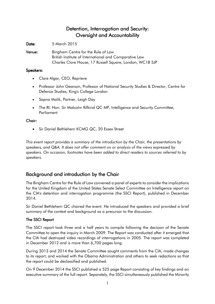# Detention, Interrogation and Security: Oversight and Accountability

Date: 5 March 2015

Venue: Bingham Centre for the Rule of Law British Institute of International and Comparative Law Charles Clore House, 17 Russell Square, London, WC1B 5JP

#### Speakers:

- Clare Algar, CEO, Reprieve
- Professor John Gearson, Professor of National Security Studies & Director, Centre for Defence Studies, King's College London
- Sapna Malik, Partner, Leigh Day
- The Rt. Hon. Sir Malcolm Rifkind QC MP, Intelligence and Security Committee, Parliament

## Chair:

• Sir Daniel Bethlehem KCMG QC, 20 Essex Street

*This event report provides a summary of the introduction by the Chair, the presentations by speakers, and Q&A. It does not offer comment on or analysis of the views expressed by speakers. On occasion, footnotes have been added to direct readers to sources referred to by speakers.* 

## Background and introduction by the Chair

The Bingham Centre for the Rule of Law convened a panel of experts to consider the implications for the United Kingdom of the United States Senate Select Committee on Intelligence report on the CIA's detention and interrogation programme (the SSCI Report), published in December 2014.

Sir Daniel Bethlehem QC chaired the event. He introduced the speakers and provided a brief summary of the context and background as a precursor to the discussion.

## The SSCI Report

The SSCI report took three and a half years to compile following the decision of the Senate Committee to open the inquiry in March 2009. The Report was conducted after it emerged that the CIA had destroyed video recordings of interrogations in 2005. The report was completed in December 2012 and is more than 6,700 pages long.

During 2013 and 2014 the Senate Committee sought comments from the CIA, made changes to its report, and worked with the Obama Administration and others to seek redactions so that the report could be declassified and published.

On 9 December 2014 the SSCI published a 525 page Report consisting of key findings and an executive summary of the full report. Separately, the SSCI simultaneously published the Minority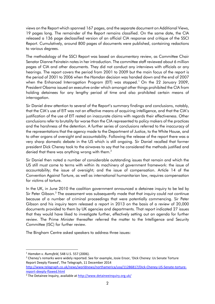views on the Report which spanned 167 pages, and the separate document on Additional Views, 19 pages long. The remainder of the Report remains classified. On the same date, the CIA released a 136 page declassified version of an official CIA response and critique of the SSCI Report. Cumulatively, around 800 pages of documents were published, containing redactions to various degrees.

The methodology of the SSCI Report was based on documentary review, as Committee Chair Senator Dianne Feinstein notes in her introduction. The committee staff reviewed about 6 million pages of CIA and other documents. They did not conduct any interviews with officials or any hearings. The report covers the period from 2001 to 2009 but the main focus of the report is the period of 2001 to 2006 when the *Hamdan* decision was handed down and the end of 2007 when the Enhanced Interrogation Program (EIT) was stopped.<sup>1</sup> On the 22 January 2009, President Obama issued an executive order which amongst other things prohibited the CIA from holding detainees for any lengthy period of time and also prohibited certain means of interrogation.

Sir Daniel drew attention to several of the Report's summary findings and conclusions, notably, that the CIA's use of EIT was not an effective means of acquiring intelligence, and that the CIA's justification of the use of EIT rested on inaccurate claims with regards their effectiveness. Other conclusions refer to brutality far worse than the CIA represented to policy makers of the practices and the harshness of the detention. A further series of conclusions referred to the inaccuracy of the representations that the agency made to the Department of Justice, to the White House, and to other organs of oversight and accountability. Following the release of the report there was a very sharp domestic debate in the US which is still ongoing. Sir Daniel recalled that former president Dick Cheney took to the airwaves to say that he considered the methods justified and denied that there was anything wrong with them.<sup>2</sup>

Sir Daniel then noted a number of considerable outstanding issues that remain and which the US still must come to terms with within its machinery of government framework: the issue of accountability; the issue of oversight; and the issue of compensation. Article 14 of the Convention Against Torture, as well as international humanitarian law, requires compensation for victims of torture.

In the UK, in June 2010 the coalition government announced a detainee inquiry to be led by Sir Peter Gibson.<sup>3</sup> The assessment was subsequently made that that inquiry could not continue because of a number of criminal proceedings that were potentially commencing. Sir Peter Gibson and his inquiry team released a report in 2013 on the basis of a review of 20,000 documents provided to them by UK agencies and departments. That report indicated 27 issues that they would have liked to investigate further, effectively setting out an agenda for further review. The Prime Minister thereafter referred the matter to the Intelligence and Security Committee (ISC) for further review.

The Bingham Centre asked speakers to address three issues:

<sup>1</sup> *Hamdan v. Rumsfeld*, 548 U.S. 557 (2006).

<sup>&</sup>lt;sup>2</sup> Cheney's remarks were widely reported. See for example, Josie Ensor, 'Dick Cheney: Us Senate Torture Report Deeply Flawed', The Telegraph, 11 December 2014

http://www.telegraph.co.uk/news/worldnews/northamerica/usa/11286817/Dick-Cheney-US-Senate-torturereport-deeply-flawed.html

<sup>&</sup>lt;sup>3</sup> The Detainee Inquiry, available at http://www.detaineeinquiry.org.uk/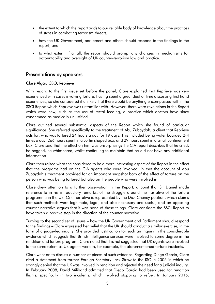- the extent to which the report adds to our reliable body of knowledge about the practices of states in combating terrorism threats;
- how the UK Government, parliament and others should respond to the findings in the report; and
- to what extent, if at all, the report should prompt any changes in mechanisms for accountability and oversight of UK counter-terrorism law and practice.

## Presentations by speakers

## Clare Algar, CEO, Reprieve

With regard to the first issue set before the panel, Clare explained that Reprieve was very experienced with cases involving torture, having spent a great deal of time discussing first hand experiences, so she considered it unlikely that there would be anything encompassed within the SSCI Report which Reprieve was unfamiliar with. However, there were revelations in the Report which were new, such as the use of rectal feeding, a practice which doctors have since condemned as medically unjustified.

Clare outlined several substantial aspects of the Report which she found of particular significance. She referred specifically to the treatment of Abu Zubaydah, a client that Reprieve acts for, who was tortured 24 hours a day for 19 days. This included being water boarded 2-4 times a day, 266 hours spent in a coffin shaped box, and 29 hours spent in a small confinement box. Clare said that the effect on him was unsurprising: the CIA report describes that he cried, he begged, he whimpered, whilst continuing to maintain that he did not have any additional information.

Clare then raised what she considered to be a more interesting aspect of the Report in the effect that the programs had on the CIA agents who were involved, in that the account of Abu Zubaydah's treatment provided for an important snapshot both of the effect of torture on the person who was being tortured but also on the people who were involved in it.

Clare drew attention to a further observation in the Report, a point that Sir Daniel made reference to in his introductory remarks, of the struggle around the narrative of the torture programme in the US. One narrative is represented by the Dick Cheney position, which claims that such methods were legitimate, legal, and also necessary and useful, and an opposing counter narrative argues that it was none of those things. Clare considers the SSCI Report to have taken a positive step in the direction of the counter narrative.

Turning to the second set of issues – how the UK Government and Parliament should respond to the findings – Clare expressed her belief that the UK should conduct a similar exercise, in the form of a judge-led inquiry. She provided justification for such an inquiry in the considerable evidence which suggests that British intelligence services were involved to some degree in the rendition and torture program. Clare noted that it is not suggested that UK agents were involved to the same extent as US agents were in, for example, the aforementioned torture incidents.

Clare went on to discuss a number of pieces of such evidence. Regarding Diego Garcia, Clare cited a statement from former Foreign Secretary Jack Straw to the ISC in 2005 in which he strongly denied that the UK was involved in rendition and rejected the need for a judicial inquiry. In February 2008, David Miliband admitted that Diego Garcia had been used for rendition flights, specifically in two incidents, which involved stopping to refuel. In January 2015,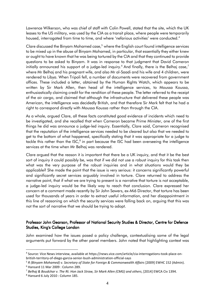Lawrence Wilkerson, who was chief of staff with Colin Powell, stated that the site, which the UK leases to the US military, was used by the CIA as a transit place, where people were temporarily housed, interrogated from time to time, and where 'nefarious activities' were conducted.<sup>4</sup>

Clare discussed the Binyam Mohamed case,<sup>5</sup> where the English court found intelligence services to be mixed up in the abuse of Binyam Mohamed, in particular, that essentially they either knew or ought to have known that he was being tortured by the CIA and that they continued to provide questions to be asked to Binyam. It was in response to that judgment that David Cameron initially announced his support of a judge-led inquiry.<sup>6</sup> And finally, there is the Belhaj case,<sup>7</sup> where Mr Belhaj and his pregnant wife, and also Mr al-Saadi and his wife and 4 children, were rendered to Libya. When Tripoli fell, a number of documents were recovered from government offices. These included a letter, obtained by the Human Rights Watch, which appears to be written by Sir Mark Allen, then head of the intelligence services, to Moussa Koussa, enthusiastically claiming credit for the rendition of these people. The letter referred to the receipt of the air cargo, and claimed that although the infrastructure that delivered these people was American, the intelligence was decidedly British, and that therefore Sir Mark felt that he had a right to correspond directly with Moussa Koussa rather than through the CIA.

As a whole, argued Clare, all these facts constituted good evidence of incidents which need to be investigated, and she recalled that when Cameron became Prime Minister, one of the first things he did was announce a judge-led inquiry. Essentially, Clare said, Cameron recognised that the reputation of the intelligence services needed to be cleared but also that we needed to get to the bottom of what happened, specifically stating that it was appropriate for a judge to tackle this rather than the ISC, $^8$  in part because the ISC had been overseeing the intelligence services at the time when Mr Belhaj was rendered.

Clare argued that the reason it is important that there be a UK inquiry, and that it be the best sort of inquiry it could possibly be, was that if we did not use a robust inquiry for this task then what was the very purpose of the robust inquiries and in what situations would they be applicable? She made the point that the issue is very serious: it concerns significantly powerful and significantly secret services arguably involved in torture. Clare returned to address the narrative point, that if what we are trying to present is a narrative that torture is not acceptable, a judge-led inquiry would be the likely way to reach that conclusion. Clare expressed her concern at a comment made recently by Sir John Sawers, ex-Mi6 Director, that torture has been used for thousands of years in order to extract useful information, and her disappointment in this line of reasoning on which the security services were falling back on, arguing that this was not the sort of narrative that we should be trying to adopt.

## Professor John Gearson, Professor of National Security Studies & Director, Centre for Defence Studies, King's College London

John examined how the issues posed a policy challenge, contextualising some of the legal arguments put forward by the other panel members. John noted that highlighting context was

<sup>4</sup> Source: Vice News interview, available at https://news.vice.com/article/cia-interrogations-took-place-onbritish-territory-of-diego-garcia-senior-bush-administration-official-says

<sup>5</sup> *R (Binyam Mohamed) v. Secretary of State for Foreign & Commonwealth Affairs* [2009] EWHC 152 (Admin).

<sup>6</sup> Hansard 11 Mar 2009 : Column 289.

<sup>7</sup> *Belhaj & Boudchar v. The Rt. Hon Jack Straw, Sir Mark Allen (CMG) and others*, [2014] EWCA Civ 1394.

 $8$  Hansard 6 July 2010 : Column 185.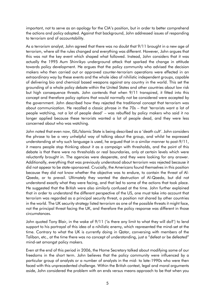important, not to serve as an apology for the CIA's position, but in order to better comprehend the actions and policy adopted. Against that background, John addressed issues of responding to terrorism and of accountability.

As a terrorism analyst, John agreed that there was no doubt that 9/11 brought in a new age of terrorism, where all the rules changed and everything was different. However, John argues that this was not the key event which shaped what followed. Instead, John considers that it was actually the 1995 Aum Shinrikyo underground attack that sparked the change in attitude towards policy development. He argues that the policy community who advised the decision makers who then carried out or approved counter-terrorism operations were effected in an extraordinary way by these events and the whole idea of nihilistic independent groups, capable of delivering bio and chemical based weapons against any country in the world. This set the grounding of a whole policy debate within the United States and other countries about low risk but high consequence threats. John contends that when 9/11 transpired, it fitted into this concept and therefore policy options that would normally not be considered were accepted by the government. John described how they rejected the traditional concept that terrorism was about communication. He recalled a classic phrase in the 70s – that 'terrorists want a lot of people watching, not a lot of people dead' – was rebuffed by policy makers who said it no longer applied because these terrorists wanted a lot of people dead, and they were less concerned about who was watching.

John noted that even now, ISIL/Islamic State is being described as a 'death cult'. John considers the phrase to be a very unhelpful way of talking about the group, and whilst he expressed understanding at why such language is used, he argued that in a similar manner to post-9/11, it means people stop thinking about it as a campaign with thresholds, and the point of this debate is that there were no thresholds or real boundaries, only at certain levels which were reluctantly brought in. The agencies were desperate, and they were looking for any answer. Additionally, everything that was previously understood about terrorism was rejected because it did not appear to be state-sponsored. Crucially, the Americans found themselves in this position because they did not know whether the objective was to endure, to contain the threat of Al-Qaeda, or to prevail. Ultimately they wanted the destruction of Al-Qaeda, but did not understand exactly what they were facing, and that led to some of the actions that took place. He suggested that the British were also similarly confused at the time. John further explained that in order to understand the different perspective of the US, one must take into account that terrorism was regarded as a principal security threat, a position not shared by other countries in the world. The UK security strategy listed terrorism as one of the possible threats it might face, not the principal threat facing the UK, and therefore the policy response was different in those circumstances.

John quoted Tony Blair, in the wake of 9/11 ('is there any limit to what they will do?') to lend support to his portrayal of this idea of a nihilistic enemy, which represented the mind-set at the time. Contrary to what the UK is currently doing in Qatar, conversing with members of the Taliban, etc., at the time there was no concept of understanding, just a "defeat or be defeated" mind-set amongst policy makers.

Even at the end of this period in 2006, the Home Secretary talked about modifying some of our freedoms in the short term. John believes that the policy community were influenced by a particular group of analysts or a number of analysts in the mid- to late-1990s who were then faced with this unprecedented challenge. Within the British context, legal and moral arguments aside, John considered the problem with an ends versus means approach to be that when you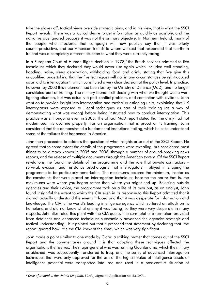take the gloves off, tactical views override strategic aims, and in his view, that is what the SSCI Report reveals. There was a tactical desire to get information as quickly as possible, and the narrative was ignored because it was not the primary objective. In Northern Ireland, many of the people who structured that campaign will now publicly say that it was utterly counterproductive, and our American friends to whom we said that responded that Northern Ireland was a completely different situation to what they were currently facing.

In a European Court of Human Rights decision in 1978,<sup>9</sup> the British services admitted to five techniques which they declared they would never use again which included wall standing, hooding, noise, sleep deprivation, withholding food and drink, stating that 'we give this unqualified undertaking that the five techniques will not in any circumstances be reintroduced as an aid to interrogation', which constituted a very clear decision at the policy level. In practice, however, by 2003 this statement had been lost by the Ministry of Defence (MoD), and no longer constituted part of training. The military found itself dealing with what we thought was a warfighting situation, but was actually a post-conflict problem, and contention with civilians. John went on to provide insight into interrogation and tactical questioning units, explaining that UK interrogators were exposed to illegal techniques as part of their training (as a way of demonstrating what was wrong) before being instructed how to conduct interrogation. This practice was still ongoing even in 2005. The official MoD report stated that the army had not modernised this doctrine properly. For an organisation that is proud of its training, John considered that this demonstrated a fundamental institutional failing, which helps to understand some of the failures that happened in America.

John then proceeded to address the question of what insights arise out of the SSCI Report. He agreed that to some extent the details of the programme were revealing, but considered most things to be already known in 2005 and 2006, through a number of ground-breaking news reports, and the release of multiple documents through the American system. Of the SSCI Report revelations, he found the details of the programme and the role that private contractors – survival, evasion, and resistance psychologists, not interrogators – played in shaping the programme to be particularly remarkable. The maximums became the minimum, insofar as the constraints that were placed on interrogation techniques became the norm: that is, the maximums were where you began rather than where you might end up. Rejecting outside agencies and their advice, the programme took on a life of its own but, as an analyst, John found insightful the extent to which the CIA even in its response to this Report admitted that it did not actually understand the enemy it faced and that it was desperate for information and knowledge. The CIA is the world's leading intelligence agency which suffered an attack on its homeland and did not know what enemy it was facing, so they were very desperate in many respects. John illustrated this point with the CIA quote, 'the sum total of information provided from detainees and enhanced techniques substantially advanced the agencies strategic and tactical understanding', but pointed out that it preceded that statement by declaring that 'the report ignored how little the CIA knew at the time', which was very significant.

John made a point similar to one made by Clare: a striking matter that comes out of the SSCI Report and the commentaries around it is that adopting these techniques affected the organisations themselves. The major-general who was running Guantanamo, which the military established, was subsequently transferred to Iraq, and the series of advanced interrogation techniques that were only approved for the use of the highest value of intelligence assets or intelligence potential were transported into Iraq and used in a post-conflict situation of

<sup>9</sup> *Case of Ireland v. the United Kingdom,* ECHR judgment, Application no. 5310/71.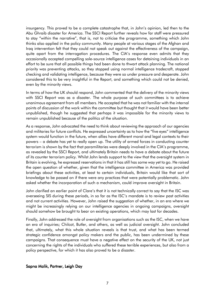insurgency. This proved to be a complete catastrophe that, in John's opinion, led then to the Abu Ghraib disaster for America. The SSCI Report further reveals how far staff were pressured to stay "within the narrative", that is, not to criticise the programme, something which John thinks also applied in the policy community. Many people at various stages of the Afghan and Iraq intervention felt that they could not speak out against the effectiveness of the campaign, quite apart from the interrogation procedures. The CIA's response even admits that they occasionally accepted compelling sole-source intelligence cases for detaining individuals in an effort to be sure that all possible things had been done to thwart attack planning. The national priority was preventing attacks, so they stopped using normal intelligence tradecraft, stopped checking and validating intelligence, because they were so under pressure and desperate. John considered this to be very insightful in the Report, and something which could not be denied, even by the minority views.

In terms of how the UK should respond, John commented that the delivery of the minority views with SSCI Report was as a disaster. The whole purpose of such committees is to achieve unanimous agreement from all members. He accepted that he was not familiar with the internal points of discussion of the work within the committee but thought that it would have been better unpublished, though he suggested that perhaps it was impossible for the minority views to remain unpublished because of the politics of the situation.

As a response, John advocated the need to think about reviewing the approach of our agencies and militaries for future conflicts. He expressed uncertainty as to how the "five eyes" intelligence system would function in the future, when allies have different moral and legal contexts to their powers – a debate has yet to really open up. The utility of armed forces in conducting counter terrorism is shown by the fact that paramilitaries were deeply involved in the CIA's programme, as revealed by the SSCI Report, and ultimately Britain needs to have a debate about the future of its counter terrorism policy. Whilst John lends support to the view that the oversight system in Britain is evolving, he expressed reservations in that it has still has some way yet to go. He raised the open question of whether, given that the intelligence committee in America was provided briefings about these activities, at least to certain individuals, Britain would like that sort of knowledge to be passed on if there were any practices that were potentially problematic. John asked whether the incorporation of such a mechanism, could improve oversight in Britain.

John clarified an earlier point of Clare's that it is not technically correct to say that the ISC was overseeing SIS during these periods, in so far as the ISC's mandate is to review past activities and not current activities. However, John raised the suggestion of whether, in an era where we might be increasingly relying on our intelligence agencies in ongoing campaigns, oversight should somehow be brought to bear on existing operations, which may last for decades.

Finally, John addressed the role of oversight from organisations such as the ISC, when we have an era of inquiries; Chilcot, Butler, and others, as well as judicial oversight. John concluded that, ultimately, what this whole situation reveals is that trust, and what has been termed strategic confidence amongst policy makers and the public, has been undermined by these campaigns. That consequence must have a negative effect on the security of the UK, not just concerning the rights of the individuals who suffered these terrible experiences, but also from a policy perspective, for which it has also proved to be a disaster.

#### Sapna Malik, Partner, Leigh Day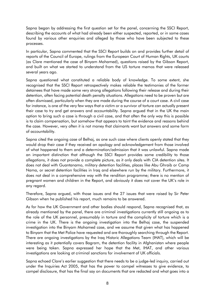Sapna began by addressing the first question set for the panel, concerning the SSCI Report, describing the accounts of what had already been either suspected, reported, or in some cases found by various other enquiries and alleged by those who have been subjected to these processes.

In particular, Sapna commented that the SSCI Report builds on and provides further detail of reports of the Council of Europe, rulings from the European Court of Human Rights, UK courts (as Clare mentioned the case of Binyam Mohamed), questions raised by the Gibson Report, and built on what we started to understand from the US torture memos that were released several years ago.

Sapna questioned what constituted a reliable body of knowledge. To some extent, she recognised that the SSCI Report retrospectively makes reliable the testimonies of the former detainees that have made some very strong allegations following their release and during their detention, often facing potential death penalty situations. Allegations need to be proven but are often dismissed, particularly when they are made during the course of a court case. A civil case for instance, is one of the very few ways that a victim or a survivor of torture can actually present their case to try and get answers and accountability. Sapna argued that in the UK the main option to bring such a case is through a civil case, and that often the only way this is possible is to claim compensation, but somehow that appears to taint the evidence and reasons behind the case. However, very often it is not money that claimants want but answers and some form of accountability.

Sapna cited the ongoing case of Belhaj, as one such case where clients openly stated that they would drop their case if they received an apology and acknowledgement from those involved of what happened to them and a determination/admission that it was unlawful. Sapna made an important distinction that although the SSCI Report provides some credibility to those allegations, it does not provide a complete picture, as it only deals with CIA detention sites. It does not deal with Guantanamo, military detention facilities, places like Abu Ghraib or Camp Nama, or secret detention facilities in Iraq and elsewhere run by the military. Furthermore, it does not deal in a comprehensive way with the rendition programme; there is no mention of pregnant women and children in the Report, and obviously it does not cover the UK's role in any regard.

Therefore, Sapna argued, with those issues and the 27 issues that were raised by Sir Peter Gibson when he published his report, much remains to be answered.

As for how the UK Government and other bodies should respond, Sapna recognised that, as already mentioned by the panel, there are criminal investigations currently still ongoing as to the role of the UK personnel, presumably in torture and the complicity of torture which is a crime in the UK. There is the ongoing investigation into the Belhaj case, the suspended investigation into the Binyam Mohamed case, and we assume that given what has happened to Binyam that the Met Police have requested and are thoroughly searching through the Report. There are ongoing investigations by the Iraq Historic Allegations Team (IHAT), which will be interesting as it potentially covers Bagram, the detention facility in Afghanistan where people were being taken. Sapna expressed her hope that the Met, IHAT, and other various investigations are looking at criminal sanctions for involvement of UK officials.

Sapna echoed Clare's earlier suggestion that there needs to be a judge-led inquiry, carried out under the Inquiries Act 2005, that has the power to compel witnesses to give evidence, to compel disclosure, that has the final say on documents that are redacted and what goes into a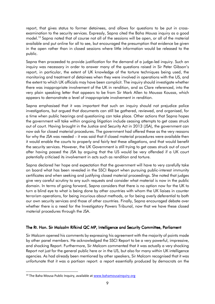report, that gives status to former detainees, and allows for questions to be put in crossexamination to the security services. Expressly, Sapna cited the Baha Mousa inquiry as a good model.<sup>10</sup> Sapna noted that of course not all of the sessions will be open, or all of the material available and put online for all to see, but encouraged the presumption that evidence be given in the open rather than in closed sessions where little information would be released to the public.

Sapna then proceeded to provide justification for the demand of a judge-led inquiry. Such an inquiry was necessary in order to answer many of the questions raised in Sir Peter Gibson's report, in particular, the extent of UK knowledge of the torture techniques being used, the monitoring and treatment of detainees when they were involved in operations with the US, and the extent to which UK officials may have been complicit. The inquiry should investigate whether there was inappropriate involvement of the UK in rendition, and as Clare referenced, into the very plain speaking letter that appears to be from Sir Mark Allen to Moussa Koussa, which appears to demonstrate a level of inappropriate involvement in rendition.

Sapna emphasised that it was important that such an inquiry should not prejudice police investigations, but argued that documents can still be gathered, reviewed, and organised, for a time when public hearings and questioning can take place. Other actions that Sapna hopes the government will take within ongoing litigation include ceasing attempts to get cases struck out of court. Having brought in the Justice and Security Act in 2013 (JSA), the government can now ask for closed material procedures. The government had offered these as the very reasons for why the JSA was needed – it was said that if closed material procedures were available then it would enable the courts to properly and fairly test these allegations, and that would benefit the security services. However, the UK Government is still trying to get cases struck out of court after having passed the JSA by arguing that the US would be very offended if a UK court potentially criticised its involvement in acts such as rendition and torture.

Sapna declared her hope and expectation that the government will have to very carefully take on board what has been revealed in the SSCI Report when pursuing public-interest immunity certificates and when seeking and justifying closed material proceedings. She noted that judges give very careful scrutiny to any such requests and consider what material is now in the public domain. In terms of going forward, Sapna considers that there is no option now for the UK to turn a blind eye to what is being done by other countries with whom the UK liaises in counter terrorism operations, for being incurious about methods, or for being overly deferential to both our own security services and those of other countries. Finally, Sapna encouraged debate over whether there is a need for the Investigatory Powers Tribunal, now that we have these closed material procedures through the JSA.

## The Rt. Hon. Sir Malcolm Rifkind QC MP, Intelligence and Security Committee, Parliament e

Sir Malcom opened his comments by expressing his agreement with the majority of points made by other panel members. He acknowledged the SSCI Report to be a very powerful, impressive, and shocking Report. Furthermore, Sir Malcom commented that it was actually a very shocking Report not just for the general public here or in the US, but also for many within UK intelligence agencies. As had already been mentioned by other speakers, Sir Malcom recognised that it was unfortunate that it was a partisan report: a report essentially produced by democrats on the

<sup>&</sup>lt;sup>10</sup> The Baha Mousa Public Inquiry, available at www.bahamousainquiry.org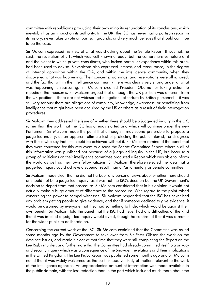committee with republicans producing their own minority renunciation of its conclusions, which inevitably has an impact on its authority. In the UK, the ISC has never had a partisan report in its history, never takes a vote on partisan grounds, and very much believes that should continue to be the case.

Sir Malcom expressed his view of what was shocking about the Senate Report. It was not, he said, the revelation of EIT, which was well-known already, but the comprehensive nature of it and the extent to which private consultants, who lacked particular experience within this area, had been used to advise. Sir Malcom also expressed interest, and reassurance, in the degree of internal opposition within the CIA, and within the intelligence community, when they discovered what was happening. Their concerns, warnings, and reservations were all ignored, and the fact that within the intelligence community there was clearly very strong anger at what was happening is reassuring. Sir Malcom credited President Obama for taking action to repudiate the measures. Sir Malcom argued that although the UK position was different from the US position – there are not widespread allegations of torture by British personnel – it was still very serious: there are allegations of complicity, knowledge, awareness, or benefitting from intelligence that might have been acquired by the US or others as a result of their interrogation procedures.

Sir Malcom then addressed the issue of whether there should be a judge-led inquiry in the UK, rather than the work that the ISC has already started and which will continue under the new Parliament. Sir Malcom made the point that although it may sound preferable to propose a judge-led inquiry, as an apparent ultimate test of protecting the public interest, he disagrees with those who say that little could be achieved without it. Sir Malcom reminded the panel that they were convened for this very event to discuss the Senate Committee Report, wherein all of this information was published not because of a judge-led inquiry in the US, but because a group of politicians on their intelligence committee produced a Report which was able to inform the world as well as their own fellow citizens. Sir Malcom therefore rejected the idea that a judge-led inquiry could achieve a superior result than a Parliamentary or Senate committee.

Sir Malcom made clear that he did not harbour any personal views about whether there should or should not be a judge-led inquiry, as it was not the ISC's decision but the UK Government's decision to depart from that procedure. Sir Malcom considered that in his opinion it would not actually make a huge amount of difference to the procedure. With regard to the point raised concerning the power to compel witnesses, Sir Malcom responded that the ISC has never had any problem getting people to give evidence, and that if someone declined to give evidence, it would be assumed by everyone that they had something to hide, which would be against their own benefit. Sir Malcom told the panel that the ISC had never had any difficulties of the kind that it was implied a judge-led inquiry would avoid, though he confirmed that it was a matter for the wider public to deliberate on.

Concerning the current work of the ISC, Sir Malcom explained that the Committee was asked some months ago by the Government to take over from Sir Peter Gibson the work on the detainee issues, and made it clear at that time that they were still completing the Report on the Lee Rigby murder, and furthermore that the Committee had already committed itself to a privacy and security inquiry which was a consequence of the Snowden revelations and their implications in the United Kingdom. The Lee Rigby Report was published some months ago and Sir Malcolm noted that it was widely welcomed as the best exhaustive study of matters relevant to the work of the intelligence agencies. An unprecedented amount of information was made available in the public domain, with far less redaction than in the past which included much more about the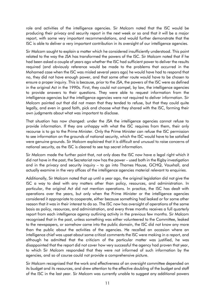role and activities of the intelligence agencies. Sir Malcom noted that the ISC would be producing their privacy and security report in the next week or so and that it will be a major report, with some very important recommendations, and would further demonstrate that the ISC is able to deliver a very important contribution in its oversight of our intelligence agencies.

Sir Malcom sought to explain a matter which he considered insufficiently understood. This point related to the way the JSA has transformed the powers of the ISC. Sir Malcom noted that if he had been asked a couple of years ago whether the ISC had sufficient power to deliver the results required (and obviously reference would be made to the problems that occurred in the Mohamed case when the ISC was misled several years ago) he would have had to respond that no, they did not have enough power, and that some other route would have to be chosen to ensure a proper inquiry. This is because, prior to the JSA, the powers of the ISC were as defined in the original Act in the 1990s. First, they could not compel, by law, the intelligence agencies to provide answers to their questions. They were able to request information from the intelligence agencies but the intelligence agencies were not required to deliver information. Sir Malcom pointed out that did not mean that they tended to refuse, but that they could quite legally, and even in good faith, pick and choose what they shared with the ISC, forming their own judgments about what was important to disclose.

That situation has now changed: under the JSA the intelligence agencies cannot refuse to provide information. If they are unhappy with what the ISC requires from them, their only recourse is to go to the Prime Minister. Only the Prime Minister can refuse the ISC permission to see information on the grounds of national security, which the ISC would have to be satisfied were genuine grounds. Sir Malcom explained that it is difficult and unusual to raise concerns of national security, as the ISC is cleared to see top secret information.

Sir Malcom made the further point that, not only does the ISC now have a legal right which it did not have in the past, the Secretariat now has the power – used both in the Rigby investigation and in the privacy and security inquiry – to go into Thames House, GCHQ, Vauxhall, and actually examine in the very offices of the intelligence agencies material relevant to enquiries.

Additionally, Sir Malcom noted that up until a year ago, the original legislation did not give the ISC a way to deal with any matters other than policy, resources, and administration. In particular, the original Act did not mention operations. In practice, the ISC has dealt with operations over the years, but only when the Prime Minister or the intelligence agencies considered it appropriate to cooperate, either because something had leaked or for some other reason that it was in their interest to do so. The ISC now has oversight of operations of the same basis as policy, resources, and administration, and every three months receives a full quarterly report from each intelligence agency outlining activity in the previous few months. Sir Malcom recognised that in the past, unless something was either volunteered to the Committee, leaked to the newspapers, or somehow came into the public domain, the ISC did not know any more than the public about the activities of the agencies. He recalled an occasion where an intelligence chief was upset about some critical comments the ISC were making in a report, and although he admitted that the criticism of the particular matter was justified, he was disappointed that the report did not cover how very successful the agency had proven that year, to which Sir Malcom responded that they were not informed of such information by the agencies, and so of course could not provide a comprehensive picture.

Sir Malcom recognised that the work and effectiveness of an oversight committee depended on its budget and its resources, and drew attention to the effective doubling of the budget and staff of the ISC in the last year. Sir Malcom was currently unable to suggest any additional powers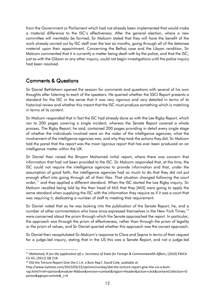from the Government or Parliament which had not already been implemented that would make a material difference to the ISC's effectiveness. After the general election, where a new committee will inevitably be formed, Sir Malcom stated that they will have the benefit of the work already carried out by ISC staff over the last six months, going through all of the detainee material upon their appointment. Concerning the Belhaj case and the Libyan rendition, Sir Malcom commented that it is currently a matter being dealt with by the police, and that the ISC, just as with the Gibson or any other inquiry, could not begin investigations until the police inquiry had been resolved.

# **Comments & Questions**

Sir Daniel Bethlehem opened the session for comments and questions with several of his own thoughts after listening to each of the speakers. He queried whether the SSCI Report presents a standard for the ISC in the sense that it was very rigorous and very detailed in terms of its historical review and whether this meant that the ISC must produce something which is matching in terms of its content.

Sir Malcom responded that in fact the ISC had already done so with the Lee Rigby Report, which ran to 200 pages covering a single incident, whereas the Senate Report covered a whole process. The Rigby Report, he said, contained 200 pages providing in detail every single stage of whether the individuals involved were on the radar of the intelligence agencies, what the involvement of the intelligence agencies was, and why they took the actions they did. Sir Malcom told the panel that the report was the most rigorous report that has ever been produced on an intelligence matter within the UK.

Sir Daniel then raised the Binyam Mohamed initial report, where there was concern that information that had not been provided to the ISC. Sir Malcom responded that, at the time, the ISC could not require the intelligence agencies to provide information and that, under the assumption of good faith, the intelligence agencies had so much to do that they did not put enough effort into going through all of their files. That situation changed following the court order,<sup>11</sup> and they applied a different standard. When the ISC started the Lee Rigby inquiry, Sir Malcom recalled being told by the then head of Mi5 that they [Mi5] were going to apply the same standard when supplying the ISC with the information they require as if it was a court that was requiring it, dedicating a number of staff to meeting that requirement.

Sir Daniel noted that as he was looking into the publication of the Senate Report, he, and a number of other commentators who have since expressed themselves in the New York Times,<sup>12</sup> were concerned about the prism through which the Senate approached the report. In particular, the approach was through the prism of effectiveness, rather than through the prism of legality or the prism of values, and Sir Daniel queried whether this approach was the correct approach.

Sir Daniel then recapitulated Sir Malcom's response to Clare and Sapna in terms of their request for a judge-led inquiry, stating that in the US this was a Senate Report, and not a judge-led

<sup>11</sup> *Mohamed, R (on the application of) v. Secretary of State for Foreign & Commonwealth Affairs*, [2010] EWCA Civ 65, [2011] QB 218.

<sup>&</sup>lt;sup>12</sup> Did the Torture Report Give the C.I.A. a Bum Rap?, David Cole, available at

http://www.nytimes.com/2015/02/22/opinion/sunday/did-the-torture-report-give-the-cia-a-bum-

rap.html?rref=opinion&module=Ribbon&version=context&region=Header&action=click&contentCollection=O pinion&pgtype=article&\_r=0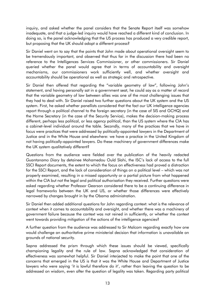inquiry, and asked whether the panel considers that the Senate Report itself was somehow inadequate, and that a judge-led inquiry would have reached a different kind of conclusion. In doing so, is the panel acknowledging that the US process has produced a very credible report, but proposing that the UK should adopt a different process?

Sir Daniel went on to say that the points that John made about operational oversight seem to be tremendously important, and observed that thus far in the discussion there had been no reference to the Intelligences Services Commissioner, or other commissioners. Sir Daniel queried whether the panel would agree that in terms of accountability and oversight mechanisms, our commissioners work sufficiently well, and whether oversight and accountability should be operational as well as strategic and retrospective.

Sir Daniel then offered that regarding the "variable geometry of law", following John's statement, and having personally sat in a government seat, he could say as a matter of record that the variable geometry of law between allies was one of the most challenging issues that they had to deal with. Sir Daniel raised two further questions about the UK system and the US system. First, he asked whether panellists considered that the fact our UK intelligence agencies report through a political channel to the foreign secretary (in the case of SIS and GCHQ) and the Home Secretary (in the case of the Security Service), makes the decision-making process different, perhaps less political, or less agency political, than the US system where the CIA has a cabinet-level individual around the table. Secondly, many of the practices that we have in focus were practices that were addressed by politically-appointed lawyers in the Department of Justice and in the White House and elsewhere: we have a practice in the United Kingdom of not having politically-appointed lawyers. Do these machinery of government differences make the UK system qualitatively different?

Questions from the audience were fielded over the publication of the heavily redacted *Guantanamo Diary* by detainee Mohamedou Ould Slahi, the ISC's lack of access to the full SSCI Report documents, the extent to which the focus on effectiveness had proved a distraction for the SSCI Report, and the lack of consideration of things on a political level – which was not properly examined, resulting in a missed opportunity or a partial picture from what happened within the CIA but not the legal and political authorisation they received. Further questions were asked regarding whether Professor Gearson considered there to be a continuing difference in legal frameworks between the UK and US, or whether those differences were effectively narrowed by changes brought in by the Obama administration.

Sir Daniel then added additional questions for John regarding context: what is the relevance of context when it comes to accountability and oversight, and whether there was a machinery of government failure because the context was not reined in sufficiently, or whether the context went towards providing mitigation of the actions of the intelligence agencies?

A further question from the audience was addressed to Sir Malcom regarding exactly how one would challenge an authoritative prime ministerial decision that information is unavailable on grounds of national security.

Sapna addressed the prism through which these issues should be viewed, specifically championing legality and the rule of law. Sapna acknowledged that consideration of effectiveness was somewhat helpful. Sir Daniel interjected to make the point that one of the concerns that emerged in the US is that it was the White House and Department of Justice lawyers who were saying 'it is lawful therefore do it', rather than leaving the question to be addressed on wisdom, even after the question of legality was taken. Regarding party political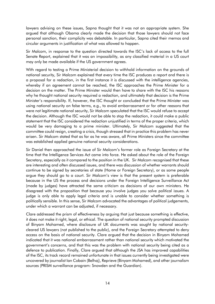lawyers advising on these issues, Sapna thought that it was not an appropriate system. She argued that although Obama clearly made the decision that those lawyers should not face personal sanction, their complicity was debatable. In particular, Sapna cited their memos and circular arguments in justification of what was allowed to happen.

Sir Malcom, in response to the question directed towards the ISC's lack of access to the full Senate Report, explained that it was an impossibility, as any classified material in a US court may only be made available if the US government agrees.

With regard to testing a Prime Ministerial decision to withhold information on the grounds of national security, Sir Malcom explained that every time the ISC produces a report and there is a proposal for a redaction, in the first instance it is discussed with the intelligence agencies, whereby if an agreement cannot be reached, the ISC approaches the Prime Minister for a decision on the matter. The Prime Minister would then have to share with the ISC his reasons why he thought national security required a redaction, and ultimately that decision is the Prime Minister's responsibility. If, however, the ISC thought or concluded that the Prime Minister was using national security on false terms, e.g., to avoid embarrassment or for other reasons that were not legitimate national security, Sir Malcom speculated that the ISC would refuse to accept the decision. Although the ISC would not be able to stop the redaction, it could make a public statement that the ISC considered the redaction unjustified in terms of the proper criteria, which would be very damaging to a prime minister. Ultimately, Sir Malcom suggested that the committee could resign, creating a crisis, though stressed that in practice this problem has never arisen. Sir Malcom stated that as far as he was aware, all Prime Ministers since the committee was established applied genuine national security considerations.

Sir Daniel then approached the issue of Sir Malcom's former role as Foreign Secretary at the time that the Intelligence Services Act came into force. He asked about the role of the Foreign Secretary, especially as it compared to the position in the UK. Sir Malcom recognised that these are interesting and often discussed issues, and there was discussion of whether warrants should continue to be signed by secretaries of state (Home or Foreign Secretary), or as some people argue they should go to a court. Sir Malcom's view is that the present system is preferable because in the US the process and decisions under the Foreign Intelligence Surveillance Act (made by judges) have attracted the same criticism as decisions of our own ministers. He disagreed with the proposition that because you involve judges you solve political issues. A judge is only able to apply legal criteria and is unable to consider whether something is politically sensible. In this sense, Sir Malcom advocated the advantages of political judgements, under which a warrant can be adjusted, if necessary.

Clare addressed the prism of effectiveness by arguing that just because something is effective, it does not make it right, legal, or ethical.The question of national security prompted discussion of Binyam Mohamed, where disclosure of UK documents was sought by national securitycleared US lawyers (not published to the public), and the Foreign Secretary attempted to deny access on the basis of national security. Clare argued that the decision in Binyam Mohamed indicated that it was national embarrassment rather than national security which motivated the government's concerns, and that this was the problem with national security being cited as a defence to publication. Finally, Clare argued that although the JSA has improved capabilities of the ISC, its track record remained unfortunate in that issues currently being investigated were uncovered by journalist Ian Cobain (Belhaj), Reprieve (Binyam Mohamed), and other journalism sources (PRISM surveillance program: Snowden and the Guardian).